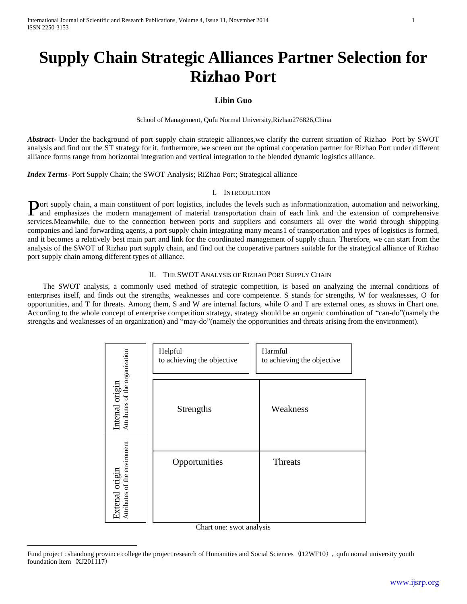# **Supply Chain Strategic Alliances Partner Selection for Rizhao Port**

# **Libin Guo**

School of Management, Qufu Normal University,Rizhao276826,China

Abstract<sub>r</sub> Under the background of port supply chain strategic alliances, we clarify the current situation of Rizhao Port by SWOT analysis and find out the ST strategy for it, furthermore, we screen out the optimal cooperation partner for Rizhao Port under different alliance forms range from horizontal integration and vertical integration to the blended dynamic logistics alliance.

*Index Terms*- Port Supply Chain; the SWOT Analysis; RiZhao Port; Strategical alliance

#### I. INTRODUCTION

ort supply chain, a main constituent of port logistics, includes the levels such as informationization, automation and networking, Port supply chain, a main constituent of port logistics, includes the levels such as informationization, automation and networking, and emphasizes the modern management of material transportation chain of each link and the services.Meanwhile, due to the connection between ports and suppliers and consumers all over the world through shippping companies and land forwarding agents, a port supply chain integrating many means1 of transportation and types of logistics is formed, and it becomes a relatively best main part and link for the coordinated management of supply chain. Therefore, we can start from the analysis of the SWOT of Rizhao port supply chain, and find out the cooperative partners suitable for the strategical alliance of Rizhao port supply chain among different types of alliance.

## II. THE SWOT ANALYSIS OF RIZHAO PORT SUPPLY CHAIN

 The SWOT analysis, a commonly used method of strategic competition, is based on analyzing the internal conditions of enterprises itself, and finds out the strengths, weaknesses and core competence. S stands for strengths, W for weaknesses, O for opportunities, and T for threats. Among them, S and W are internal factors, while O and T are external ones, as shows in Chart one. According to the whole concept of enterprise competition strategy, strategy should be an organic combination of "can-do"(namely the strengths and weaknesses of an organization) and "may-do"(namely the opportunities and threats arising from the environment).

|                                                  | Helpful<br>to achieving the objective | Harmful<br>to achieving the objective |
|--------------------------------------------------|---------------------------------------|---------------------------------------|
| Intenal origin<br>Attributes of the organization | Strengths                             | Weakness                              |
| Extenal origin<br>Attributes of the enviroment   | Opportunities                         | Threats                               |

Chart one: swot analysis

 $\overline{a}$ 

Fund project: shandong province college the project research of Humanities and Social Sciences (J12WF10), qufu nomal university youth foundation item (XJ201117)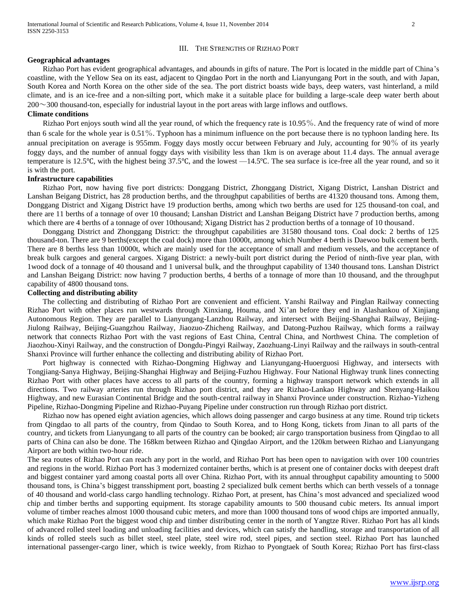#### III. THE STRENGTHS OF RIZHAO PORT

#### **Geographical advantages**

 Rizhao Port has evident geographical advantages, and abounds in gifts of nature. The Port is located in the middle part of China's coastline, with the Yellow Sea on its east, adjacent to Qingdao Port in the north and Lianyungang Port in the south, and with Japan, South Korea and North Korea on the other side of the sea. The port district boasts wide bays, deep waters, vast hinterland, a mild climate, and is an ice-free and a non-silting port, which make it a suitable place for building a large-scale deep water berth about 200~300 thousand-ton, especially for industrial layout in the port areas with large inflows and outflows.

## **Climate conditions**

 Rizhao Port enjoys south wind all the year round, of which the frequency rate is 10.95%. And the frequency rate of wind of more than 6 scale for the whole year is 0.51%. Typhoon has a minimum influence on the port because there is no typhoon landing here. Its annual precipitation on average is 955mm. Foggy days mostly occur between February and July, accounting for 90% of its yearly foggy days, and the number of annual foggy days with visibility less than 1km is on average about 11.4 days. The annual average temperature is 12.5℃, with the highest being 37.5℃, and the lowest —14.5℃. The sea surface is ice-free all the year round, and so it is with the port.

#### **Infrastructure capabilities**

 Rizhao Port, now having five port districts: Donggang District, Zhonggang District, Xigang District, Lanshan District and Lanshan Beigang District, has 28 production berths, and the throughput capabilities of berths are 41320 thousand tons. Among them, Donggang District and Xigang District have 19 production berths, among which two berths are used for 125 thousand-ton coal, and there are 11 berths of a tonnage of over 10 thousand; Lanshan District and Lanshan Beigang District have 7 production berths, among which there are 4 berths of a tonnage of over 10thousand; Xigang District has 2 production berths of a tonnage of 10 thousand.

 Donggang District and Zhonggang District: the throughput capabilities are 31580 thousand tons. Coal dock: 2 berths of 125 thousand-ton. There are 9 berths(except the coal dock) more than 10000t, among which Number 4 berth is Daewoo bulk cement berth. There are 8 berths less than 10000t, which are mainly used for the acceptance of small and medium vessels, and the acceptance of break bulk cargoes and general cargoes. Xigang District: a newly-built port district during the Period of ninth-five year plan, with 1wood dock of a tonnage of 40 thousand and 1 universal bulk, and the throughput capability of 1340 thousand tons. Lanshan District and Lanshan Beigang District: now having 7 production berths, 4 berths of a tonnage of more than 10 thousand, and the throughput capability of 4800 thousand tons.

## **Collecting and distributing ability**

 The collecting and distributing of Rizhao Port are convenient and efficient. Yanshi Railway and Pinglan Railway connecting Rizhao Port with other places run westwards through Xinxiang, Houma, and Xi'an before they end in Alashankou of Xinjiang Autonomous Region. They are parallel to Lianyungang-Lanzhou Railway, and intersect with Beijing-Shanghai Railway, Beijing-Jiulong Railway, Beijing-Guangzhou Railway, Jiaozuo-Zhicheng Railway, and Datong-Puzhou Railway, which forms a railway network that connects Rizhao Port with the vast regions of East China, Central China, and Northwest China. The completion of Jiaozhou-Xinyi Railway, and the construction of Dongdu-Pingyi Railway, Zaozhuang-Linyi Railway and the railways in south-central Shanxi Province will further enhance the collecting and distributing ability of Rizhao Port.

 Port highway is connected with Rizhao-Dongming Highway and Lianyungang-Huoerguosi Highway, and intersects with Tongjiang-Sanya Highway, Beijing-Shanghai Highway and Beijing-Fuzhou Highway. Four National Highway trunk lines connecting Rizhao Port with other places have access to all parts of the country, forming a highway transport network which extends in all directions. Two railway arteries run through Rizhao port district, and they are Rizhao-Lankao Highway and Shenyang-Haikou Highway, and new Eurasian Continental Bridge and the south-central railway in Shanxi Province under construction. Rizhao-Yizheng Pipeline, Rizhao-Dongming Pipeline and Rizhao-Puyang Pipeline under construction run through Rizhao port district.

 Rizhao now has opened eight aviation agencies, which allows doing passenger and cargo business at any time. Round trip tickets from Qingdao to all parts of the country, from Qindao to South Korea, and to Hong Kong, tickets from Jinan to all parts of the country, and tickets from Lianyungang to all parts of the country can be booked; air cargo transportation business from Qingdao to all parts of China can also be done. The 168km between Rizhao and Qingdao Airport, and the 120km between Rizhao and Lianyungang Airport are both within two-hour ride.

The sea routes of Rizhao Port can reach any port in the world, and Rizhao Port has been open to navigation with over 100 countries and regions in the world. Rizhao Port has 3 modernized container berths, which is at present one of container docks with deepest draft and biggest container yard among coastal ports all over China. Rizhao Port, with its annual throughput capability amounting to 5000 thousand tons, is China's biggest transshipment port, boasting 2 specialized bulk cement berths which can berth vessels of a tonnage of 40 thousand and world-class cargo handling technology. Rizhao Port, at present, has China's most advanced and specialized wood chip and timber berths and supporting equipment. Its storage capability amounts to 500 thousand cubic meters. Its annual import volume of timber reaches almost 1000 thousand cubic meters, and more than 1000 thousand tons of wood chips are imported annually, which make Rizhao Port the biggest wood chip and timber distributing center in the north of Yangtze River. Rizhao Port has all kinds of advanced rolled steel loading and unloading facilities and devices, which can satisfy the handling, storage and transportation of all kinds of rolled steels such as billet steel, steel plate, steel wire rod, steel pipes, and section steel. Rizhao Port has launched international passenger-cargo liner, which is twice weekly, from Rizhao to Pyongtaek of South Korea; Rizhao Port has first-class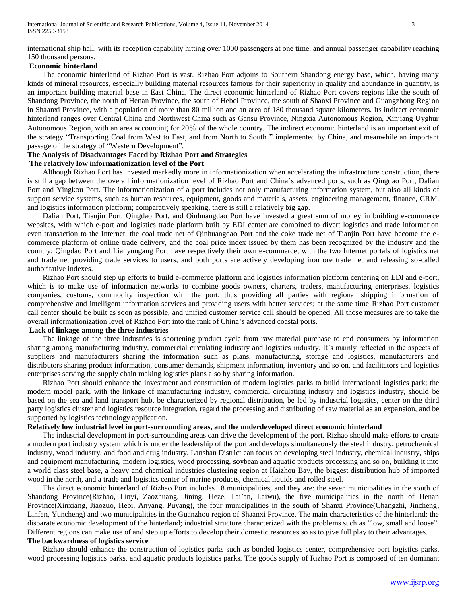international ship hall, with its reception capability hitting over 1000 passengers at one time, and annual passenger capability reaching 150 thousand persons.

#### **Economic hinterland**

 The economic hinterland of Rizhao Port is vast. Rizhao Port adjoins to Southern Shandong energy base, which, having many kinds of mineral resources, especially building material resources famous for their superiority in quality and abundance in quantity, is an important building material base in East China. The direct economic hinterland of Rizhao Port covers regions like the south of Shandong Province, the north of Henan Province, the south of Hebei Province, the south of Shanxi Province and Guangzhong Region in Shaanxi Province, with a population of more than 80 million and an area of 180 thousand square kilometers. Its indirect economic hinterland ranges over Central China and Northwest China such as Gansu Province, Ningxia Autonomous Region, Xinjiang Uyghur Autonomous Region, with an area accounting for 20% of the whole country. The indirect economic hinterland is an important exit of the strategy "Transporting Coal from West to East, and from North to South " implemented by China, and meanwhile an important passage of the strategy of "Western Development".

# **The Analysis of Disadvantages Faced by Rizhao Port and Strategies**

## **The relatively low informationization level of the Port**

 Although Rizhao Port has invested markedly more in informationization when accelerating the infrastructure construction, there is still a gap between the overall informationization level of Rizhao Port and China's advanced ports, such as Qingdao Port, Dalian Port and Yingkou Port. The informationization of a port includes not only manufacturing information system, but also all kinds of support service systems, such as human resources, equipment, goods and materials, assets, engineering management, finance, CRM, and logistics information platform; comparatively speaking, there is still a relatively big gap.

 Dalian Port, Tianjin Port, Qingdao Port, and Qinhuangdao Port have invested a great sum of money in building e-commerce websites, with which e-port and logistics trade platform built by EDI center are combined to divert logistics and trade information even transaction to the Internet; the coal trade net of Qinhuangdao Port and the coke trade net of Tianjin Port have become the ecommerce platform of online trade delivery, and the coal price index issued by them has been recognized by the industry and the country; Qingdao Port and Lianyungang Port have respectively their own e-commerce, with the two Internet portals of logistics net and trade net providing trade services to users, and both ports are actively developing iron ore trade net and releasing so-called authoritative indexes.

 Rizhao Port should step up efforts to build e-commerce platform and logistics information platform centering on EDI and e-port, which is to make use of information networks to combine goods owners, charters, traders, manufacturing enterprises, logistics companies, customs, commodity inspection with the port, thus providing all parties with regional shipping information of comprehensive and intelligent information services and providing users with better services; at the same time Rizhao Port customer call center should be built as soon as possible, and unified customer service call should be opened. All those measures are to take the overall informationization level of Rizhao Port into the rank of China's advanced coastal ports.

## **Lack of linkage among the three industries**

 The linkage of the three industries is shortening product cycle from raw material purchase to end consumers by information sharing among manufacturing industry, commercial circulating industry and logistics industry. It's mainly reflected in the aspects of suppliers and manufacturers sharing the information such as plans, manufacturing, storage and logistics, manufacturers and distributors sharing product information, consumer demands, shipment information, inventory and so on, and facilitators and logistics enterprises serving the supply chain making logistics plans also by sharing information.

 Rizhao Port should enhance the investment and construction of modern logistics parks to build international logistics park; the modern model park, with the linkage of manufacturing industry, commercial circulating industry and logistics industry, should be based on the sea and land transport hub, be characterized by regional distribution, be led by industrial logistics, center on the third party logistics cluster and logistics resource integration, regard the processing and distributing of raw material as an expansion, and be supported by logistics technology application.

#### **Relatively low industrial level in port-surrounding areas, and the underdeveloped direct economic hinterland**

 The industrial development in port-surrounding areas can drive the development of the port. Rizhao should make efforts to create a modern port industry system which is under the leadership of the port and develops simultaneously the steel industry, petrochemical industry, wood industry, and food and drug industry. Lanshan District can focus on developing steel industry, chemical industry, ships and equipment manufacturing, modern logistics, wood processing, soybean and aquatic products processing and so on, building it into a world class steel base, a heavy and chemical industries clustering region at Haizhou Bay, the biggest distribution hub of imported wood in the north, and a trade and logistics center of marine products, chemical liquids and rolled steel.

 The direct economic hinterland of Rizhao Port includes 18 municipalities, and they are: the seven municipalities in the south of Shandong Province(Rizhao, Linyi, Zaozhuang, Jining, Heze, Tai'an, Laiwu), the five municipalities in the north of Henan Province(Xinxiang, Jiaozuo, Hebi, Anyang, Puyang), the four municipalities in the south of Shanxi Province(Changzhi, Jincheng, Linfen, Yuncheng) and two municipalities in the Guanzhou region of Shaanxi Province. The main characteristics of the hinterland: the disparate economic development of the hinterland; industrial structure characterized with the problems such as "low, small and loose". Different regions can make use of and step up efforts to develop their domestic resources so as to give full play to their advantages. **The backwardness of logistics service**

 Rizhao should enhance the construction of logistics parks such as bonded logistics center, comprehensive port logistics parks, wood processing logistics parks, and aquatic products logistics parks. The goods supply of Rizhao Port is composed of ten dominant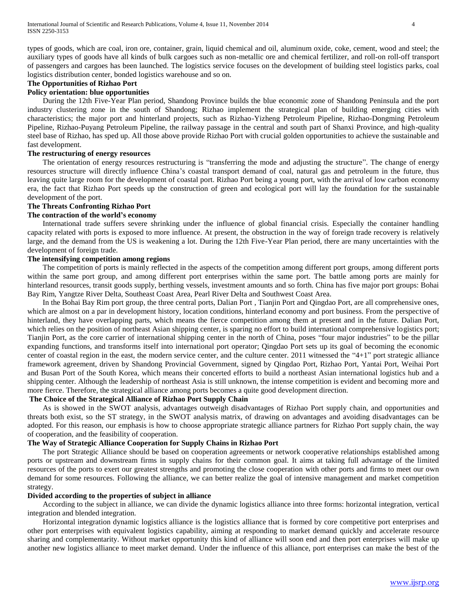types of goods, which are coal, iron ore, container, grain, liquid chemical and oil, aluminum oxide, coke, cement, wood and steel; the auxiliary types of goods have all kinds of bulk cargoes such as non-metallic ore and chemical fertilizer, and roll-on roll-off transport of passengers and cargoes has been launched. The logistics service focuses on the development of building steel logistics parks, coal logistics distribution center, bonded logistics warehouse and so on.

## **The Opportunities of Rizhao Port**

## **Policy orientation: blue opportunities**

 During the 12th Five-Year Plan period, Shandong Province builds the blue economic zone of Shandong Peninsula and the port industry clustering zone in the south of Shandong; Rizhao implement the strategical plan of building emerging cities with characteristics; the major port and hinterland projects, such as Rizhao-Yizheng Petroleum Pipeline, Rizhao-Dongming Petroleum Pipeline, Rizhao-Puyang Petroleum Pipeline, the railway passage in the central and south part of Shanxi Province, and high-quality steel base of Rizhao, has sped up. All those above provide Rizhao Port with crucial golden opportunities to achieve the sustainable and fast development.

#### **The restructuring of energy resources**

 The orientation of energy resources restructuring is "transferring the mode and adjusting the structure". The change of energy resources structure will directly influence China's coastal transport demand of coal, natural gas and petroleum in the future, thus leaving quite large room for the development of coastal port. Rizhao Port being a young port, with the arrival of low carbon economy era, the fact that Rizhao Port speeds up the construction of green and ecological port will lay the foundation for the sustainable development of the port.

## **The Threats Confronting Rizhao Port**

#### **The contraction of the world's economy**

 International trade suffers severe shrinking under the influence of global financial crisis. Especially the container handling capacity related with ports is exposed to more influence. At present, the obstruction in the way of foreign trade recovery is relatively large, and the demand from the US is weakening a lot. During the 12th Five-Year Plan period, there are many uncertainties with the development of foreign trade.

#### **The intensifying competition among regions**

 The competition of ports is mainly reflected in the aspects of the competition among different port groups, among different ports within the same port group, and among different port enterprises within the same port. The battle among ports are mainly for hinterland resources, transit goods supply, berthing vessels, investment amounts and so forth. China has five major port groups: Bohai Bay Rim, Yangtze River Delta, Southeast Coast Area, Pearl River Delta and Southwest Coast Area.

 In the Bohai Bay Rim port group, the three central ports, Dalian Port , Tianjin Port and Qingdao Port, are all comprehensive ones, which are almost on a par in development history, location conditions, hinterland economy and port business. From the perspective of hinterland, they have overlapping parts, which means the fierce competition among them at present and in the future. Dalian Port, which relies on the position of northeast Asian shipping center, is sparing no effort to build international comprehensive logistics port; Tianjin Port, as the core carrier of international shipping center in the north of China, poses "four major industries" to be the pillar expanding functions, and transforms itself into international port operator; Qingdao Port sets up its goal of becoming the economic center of coastal region in the east, the modern service center, and the culture center. 2011 witnessed the "4+1" port strategic alliance framework agreement, driven by Shandong Provincial Government, signed by Qingdao Port, Rizhao Port, Yantai Port, Weihai Port and Busan Port of the South Korea, which means their concerted efforts to build a northeast Asian international logistics hub and a shipping center. Although the leadership of northeast Asia is still unknown, the intense competition is evident and becoming more and more fierce. Therefore, the strategical alliance among ports becomes a quite good development direction.

#### **The Choice of the Strategical Alliance of Rizhao Port Supply Chain**

 As is showed in the SWOT analysis, advantages outweigh disadvantages of Rizhao Port supply chain, and opportunities and threats both exist, so the ST strategy, in the SWOT analysis matrix, of drawing on advantages and avoiding disadvantages can be adopted. For this reason, our emphasis is how to choose appropriate strategic alliance partners for Rizhao Port supply chain, the way of cooperation, and the feasibility of cooperation.

## **The Way of Strategic Alliance Cooperation for Supply Chains in Rizhao Port**

 The port Strategic Alliance should be based on cooperation agreements or network cooperative relationships established among ports or upstream and downstream firms in supply chains for their common goal. It aims at taking full advantage of the limited resources of the ports to exert our greatest strengths and promoting the close cooperation with other ports and firms to meet our own demand for some resources. Following the alliance, we can better realize the goal of intensive management and market competition strategy.

#### **Divided according to the properties of subject in alliance**

 According to the subject in alliance, we can divide the dynamic logistics alliance into three forms: horizontal integration, vertical integration and blended integration.

 Horizontal integration dynamic logistics alliance is the logistics alliance that is formed by core competitive port enterprises and other port enterprises with equivalent logistics capability, aiming at responding to market demand quickly and accelerate resource sharing and complementarity. Without market opportunity this kind of alliance will soon end and then port enterprises will make up another new logistics alliance to meet market demand. Under the influence of this alliance, port enterprises can make the best of the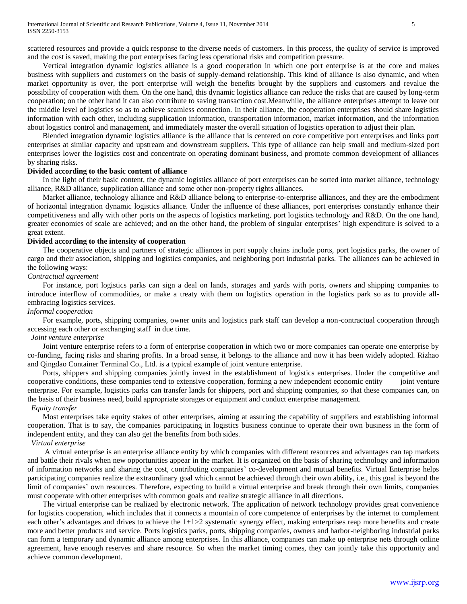scattered resources and provide a quick response to the diverse needs of customers. In this process, the quality of service is improved and the cost is saved, making the port enterprises facing less operational risks and competition pressure.

 Vertical integration dynamic logistics alliance is a good cooperation in which one port enterprise is at the core and makes business with suppliers and customers on the basis of supply-demand relationship. This kind of alliance is also dynamic, and when market opportunity is over, the port enterprise will weigh the benefits brought by the suppliers and customers and revalue the possibility of cooperation with them. On the one hand, this dynamic logistics alliance can reduce the risks that are caused by long-term cooperation; on the other hand it can also contribute to saving transaction cost.Meanwhile, the alliance enterprises attempt to leave out the middle level of logistics so as to achieve seamless connection. In their alliance, the cooperation enterprises should share logistics information with each other, including supplication information, transportation information, market information, and the information about logistics control and management, and immediately master the overall situation of logistics operation to adjust their plan.

 Blended integration dynamic logistics alliance is the alliance that is centered on core competitive port enterprises and links port enterprises at similar capacity and upstream and downstream suppliers. This type of alliance can help small and medium-sized port enterprises lower the logistics cost and concentrate on operating dominant business, and promote common development of alliances by sharing risks.

#### **Divided according to the basic content of alliance**

 In the light of their basic content, the dynamic logistics alliance of port enterprises can be sorted into market alliance, technology alliance, R&D alliance, supplication alliance and some other non-property rights alliances.

 Market alliance, technology alliance and R&D alliance belong to enterprise-to-enterprise alliances, and they are the embodiment of horizontal integration dynamic logistics alliance. Under the influence of these alliances, port enterprises constantly enhance their competitiveness and ally with other ports on the aspects of logistics marketing, port logistics technology and R&D. On the one hand, greater economies of scale are achieved; and on the other hand, the problem of singular enterprises' high expenditure is solved to a great extent.

#### **Divided according to the intensity of cooperation**

 The cooperative objects and partners of strategic alliances in port supply chains include ports, port logistics parks, the owner of cargo and their association, shipping and logistics companies, and neighboring port industrial parks. The alliances can be achieved in the following ways:

## *Contractual agreement*

 For instance, port logistics parks can sign a deal on lands, storages and yards with ports, owners and shipping companies to introduce interflow of commodities, or make a treaty with them on logistics operation in the logistics park so as to provide allembracing logistics services.

#### *Informal cooperation*

 For example, ports, shipping companies, owner units and logistics park staff can develop a non-contractual cooperation through accessing each other or exchanging staff in due time.

#### *Joint venture enterprise*

 Joint venture enterprise refers to a form of enterprise cooperation in which two or more companies can operate one enterprise by co-funding, facing risks and sharing profits. In a broad sense, it belongs to the alliance and now it has been widely adopted. Rizhao and Qingdao Container Terminal Co., Ltd. is a typical example of joint venture enterprise.

 Ports, shippers and shipping companies jointly invest in the establishment of logistics enterprises. Under the competitive and cooperative conditions, these companies tend to extensive cooperation, forming a new independent economic entity—— joint venture enterprise. For example, logistics parks can transfer lands for shippers, port and shipping companies, so that these companies can, on the basis of their business need, build appropriate storages or equipment and conduct enterprise management.

## *Equity transfer*

 Most enterprises take equity stakes of other enterprises, aiming at assuring the capability of suppliers and establishing informal cooperation. That is to say, the companies participating in logistics business continue to operate their own business in the form of independent entity, and they can also get the benefits from both sides.

#### *Virtual enterprise*

 A virtual enterprise is an enterprise alliance entity by which companies with different resources and advantages can tap markets and battle their rivals when new opportunities appear in the market. It is organized on the basis of sharing technology and information of information networks and sharing the cost, contributing companies' co-development and mutual benefits. Virtual Enterprise helps participating companies realize the extraordinary goal which cannot be achieved through their own ability, i.e., this goal is beyond the limit of companies' own resources. Therefore, expecting to build a virtual enterprise and break through their own limits, companies must cooperate with other enterprises with common goals and realize strategic alliance in all directions.

 The virtual enterprise can be realized by electronic network. The application of network technology provides great convenience for logistics cooperation, which includes that it connects a mountain of core competence of enterprises by the internet to complement each other's advantages and drives to achieve the 1+1>2 systematic synergy effect, making enterprises reap more benefits and create more and better products and service. Ports logistics parks, ports, shipping companies, owners and harbor-neighboring industrial parks can form a temporary and dynamic alliance among enterprises. In this alliance, companies can make up enterprise nets through online agreement, have enough reserves and share resource. So when the market timing comes, they can jointly take this opportunity and achieve common development.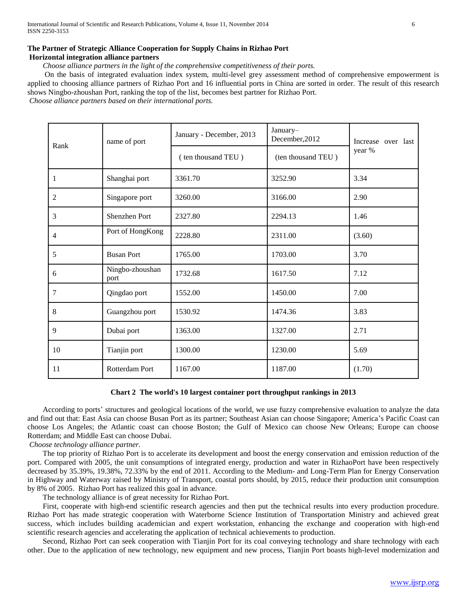## **The Partner of Strategic Alliance Cooperation for Supply Chains in Rizhao Port Horizontal integration alliance partners**

*Choose alliance partners in the light of the comprehensive competitiveness of their ports.* 

 On the basis of integrated evaluation index system, multi-level grey assessment method of comprehensive empowerment is applied to choosing alliance partners of Rizhao Port and 16 influential ports in China are sorted in order. The result of this research shows Ningbo-zhoushan Port, ranking the top of the list, becomes best partner for Rizhao Port.

*Choose alliance partners based on their international ports.*

| Rank             | name of port            | January - December, 2013 | January-<br>December, 2012 | Increase over last<br>year % |
|------------------|-------------------------|--------------------------|----------------------------|------------------------------|
|                  |                         | (ten thousand TEU)       | (ten thousand TEU)         |                              |
| $\mathbf{1}$     | Shanghai port           | 3361.70                  | 3252.90                    | 3.34                         |
| $\overline{2}$   | Singapore port          | 3260.00                  | 3166.00                    | 2.90                         |
| 3                | <b>Shenzhen Port</b>    | 2327.80                  | 2294.13                    | 1.46                         |
| $\overline{4}$   | Port of HongKong        | 2228.80                  | 2311.00                    | (3.60)                       |
| 5                | <b>Busan Port</b>       | 1765.00                  | 1703.00                    | 3.70                         |
| 6                | Ningbo-zhoushan<br>port | 1732.68                  | 1617.50                    | 7.12                         |
| $\boldsymbol{7}$ | Qingdao port            | 1552.00                  | 1450.00                    | 7.00                         |
| $\,8\,$          | Guangzhou port          | 1530.92                  | 1474.36                    | 3.83                         |
| 9                | Dubai port              | 1363.00                  | 1327.00                    | 2.71                         |
| 10               | Tianjin port            | 1300.00                  | 1230.00                    | 5.69                         |
| 11               | Rotterdam Port          | 1167.00                  | 1187.00                    | (1.70)                       |

#### **Chart 2 The world's 10 largest container port throughput rankings in 2013**

 According to ports' structures and geological locations of the world, we use fuzzy comprehensive evaluation to analyze the data and find out that: East Asia can choose Busan Port as its partner; Southeast Asian can choose Singapore; America's Pacific Coast can choose Los Angeles; the Atlantic coast can choose Boston; the Gulf of Mexico can choose New Orleans; Europe can choose Rotterdam; and Middle East can choose Dubai.

## *Choose technology alliance partner.*

 The top priority of Rizhao Port is to accelerate its development and boost the energy conservation and emission reduction of the port. Compared with 2005, the unit consumptions of integrated energy, production and water in RizhaoPort have been respectively decreased by 35.39%, 19.38%, 72.33% by the end of 2011. According to the Medium- and Long-Term Plan for Energy Conservation in Highway and Waterway raised by Ministry of Transport, coastal ports should, by 2015, reduce their production unit consumption by 8% of 2005. Rizhao Port has realized this goal in advance.

The technology alliance is of great necessity for Rizhao Port.

 First, cooperate with high-end scientific research agencies and then put the technical results into every production procedure. Rizhao Port has made strategic cooperation with Waterborne Science Institution of Transportation Ministry and achieved great success, which includes building academician and expert workstation, enhancing the exchange and cooperation with high-end scientific research agencies and accelerating the application of technical achievements to production.

 Second, Rizhao Port can seek cooperation with Tianjin Port for its coal conveying technology and share technology with each other. Due to the application of new technology, new equipment and new process, Tianjin Port boasts high-level modernization and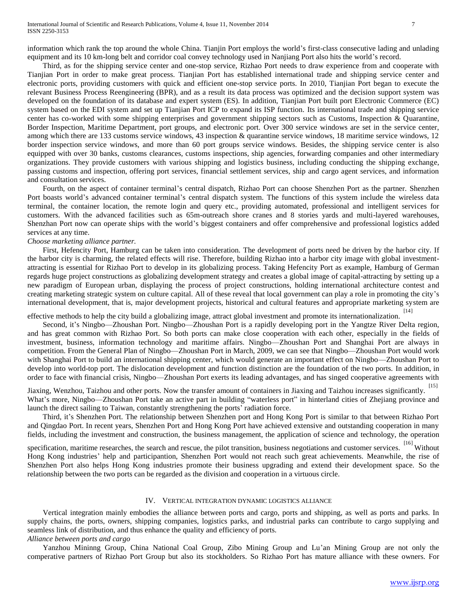information which rank the top around the whole China. Tianjin Port employs the world's first-class consecutive lading and unlading equipment and its 10 km-long belt and corridor coal convey technology used in Nanjiang Port also hits the world's record.

 Third, as for the shipping service center and one-stop service, Rizhao Port needs to draw experience from and cooperate with Tianjian Port in order to make great process. Tianjian Port has established international trade and shipping service center and electronic ports, providing customers with quick and efficient one-stop service ports. In 2010, Tianjian Port began to execute the relevant Business Process Reengineering (BPR), and as a result its data process was optimized and the decision support system was developed on the foundation of its database and expert system (ES). In addition, Tianjian Port built port Electronic Commerce (EC) system based on the EDI system and set up Tianjian Port ICP to expand its ISP function. Its international trade and shipping service center has co-worked with some shipping enterprises and government shipping sectors such as Customs, Inspection & Quarantine, Border Inspection, Maritime Department, port groups, and electronic port. Over 300 service windows are set in the service center, among which there are 133 customs service windows, 43 inspection & quarantine service windows, 18 maritime service windows, 12 border inspection service windows, and more than 60 port groups service windows. Besides, the shipping service center is also equipped with over 30 banks, customs clearances, customs inspections, ship agencies, forwarding companies and other intermediary organizations. They provide customers with various shipping and logistics business, including conducting the shipping exchange, passing customs and inspection, offering port services, financial settlement services, ship and cargo agent services, and information and consultation services.

 Fourth, on the aspect of container terminal's central dispatch, Rizhao Port can choose Shenzhen Port as the partner. Shenzhen Port boasts world's advanced container terminal's central dispatch system. The functions of this system include the wireless data terminal, the container location, the remote login and query etc., providing automated, professional and intelligent services for customers. With the advanced facilities such as 65m-outreach shore cranes and 8 stories yards and multi-layered warehouses, Shenzhan Port now can operate ships with the world's biggest containers and offer comprehensive and professional logistics added services at any time.

#### *Choose marketing alliance partner.*

 First, Hefencity Port, Hamburg can be taken into consideration. The development of ports need be driven by the harbor city. If the harbor city is charming, the related effects will rise. Therefore, building Rizhao into a harbor city image with global investmentattracting is essential for Rizhao Port to develop in its globalizing process. Taking Hefencity Port as example, Hamburg of German regards huge project constructions as globalizing development strategy and creates a global image of capital-attracting by setting up a new paradigm of European urban, displaying the process of project constructions, holding international architecture contest and creating marketing strategic system on culture capital. All of these reveal that local government can play a role in promoting the city's international development, that is, major development projects, historical and cultural features and appropriate marketing system are

effective methods to help the city build a globalizing image, attract global investment and promote its internationalization.

 Second, it's Ningbo—Zhoushan Port. Ningbo—Zhoushan Port is a rapidly developing port in the Yangtze River Delta region, and has great common with Rizhao Port. So both ports can make close cooperation with each other, especially in the fields of investment, business, information technology and maritime affairs. Ningbo—Zhoushan Port and Shanghai Port are always in competition. From the General Plan of Ningbo—Zhoushan Port in March, 2009, we can see that Ningbo—Zhoushan Port would work with Shanghai Port to build an international shipping center, which would generate an important effect on Ningbo—Zhoushan Port to develop into world-top port. The dislocation development and function distinction are the foundation of the two ports. In addition, in order to face with financial crisis, Ningbo—Zhoushan Port exerts its leading advantages, and has singed cooperative agreements with

Jiaxing, Wenzhou, Taizhou and other ports. Now the transfer amount of containers in Jiaxing and Taizhou increases significantly. [15] What's more, Ningbo—Zhoushan Port take an active part in building "waterless port" in hinterland cities of Zhejiang province and launch the direct sailing to Taiwan, constantly strengthening the ports' radiation force.

 Third, it's Shenzhen Port. The relationship between Shenzhen port and Hong Kong Port is similar to that between Rizhao Port and Qingdao Port. In recent years, Shenzhen Port and Hong Kong Port have achieved extensive and outstanding cooperation in many fields, including the investment and construction, the business management, the application of science and technology, the operation

specification, maritime researches, the search and rescue, the pilot transition, business negotiations and customer services. [16] Without Hong Kong industries' help and participantion, Shenzhen Port would not reach such great achievements. Meanwhile, the rise of Shenzhen Port also helps Hong Kong industries promote their business upgrading and extend their development space. So the relationship between the two ports can be regarded as the division and cooperation in a virtuous circle.

#### IV. VERTICAL INTEGRATION DYNAMIC LOGISTICS ALLIANCE

 Vertical integration mainly embodies the alliance between ports and cargo, ports and shipping, as well as ports and parks. In supply chains, the ports, owners, shipping companies, logistics parks, and industrial parks can contribute to cargo supplying and seamless link of distribution, and thus enhance the quality and efficiency of ports.

*Alliance between ports and cargo*

 Yanzhou Mininng Group, China National Coal Group, Zibo Mining Group and Lu'an Mining Group are not only the comperative partners of Rizhao Port Group but also its stockholders. So Rizhao Port has mature alliance with these owners. For

[14]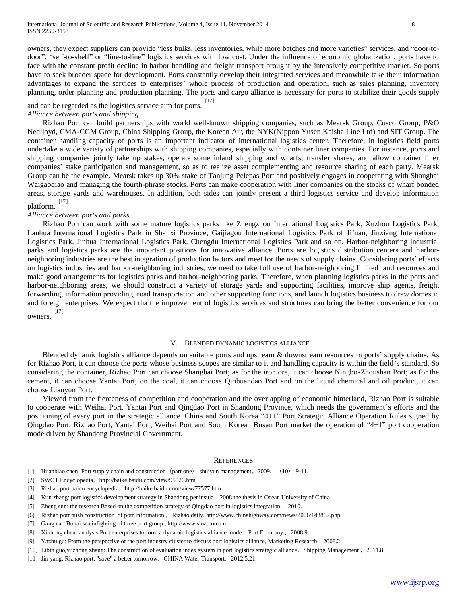owners, they expect suppliers can provide "less bulks, less inventories, while more batches and more varieties" services, and "door-todoor", "self-to-shelf" or "line-to-line" logistics services with low cost. Under the influence of economic globalization, ports have to face with the constant profit decline in harbor handling and freight transport brought by the intensively competitive market. So ports have to seek broader space for development. Ports constantly develop their integrated services and meanwhile take their information advantages to expand the services to enterprises' whole process of production and operation, such as sales planning, inventory planning, order planning and production planning. The ports and cargo alliance is necessary for ports to stabilize their goods supply

and can be regarded as the logistics service aim for ports.  $[17]$ 

#### *Alliance between ports and shipping*

 Rizhao Port can build partnerships with world well-known shipping companies, such as Mearsk Group, Cosco Group, P&O Nedlloyd, CMA-CGM Group, China Shipping Group, the Korean Air, the NYK(Nippon Yusen Kaisha Line Ltd) and SIT Group. The container handling capacity of ports is an important indicator of international logistics center. Therefore, in logistics field ports undertake a wide variety of partnerships with shipping companies, especially with container liner companies. For instance, ports and shipping companies jointly take up stakes, operate some inland shipping and wharfs, transfer shares, and allow container liner companies' stake participation and management, so as to realize asset complementing and resource sharing of each party. Mearsk Group can be the example. Mearsk takes up 30% stake of Tanjung Pelepas Port and positively engages in cooperating with Shanghai Waigaoqiao and managing the fourth-phrase stocks. Ports can make cooperation with liner companies on the stocks of wharf bonded areas, storage yards and warehouses. In addition, both sides can jointly present a third logistics service and develop information platform. [17]

# *Alliance between ports and parks*

 Rizhao Port can work with some mature logistics parks like Zhengzhou International Logistics Park, Xuzhou Logistics Park, Lanhua International Logistics Park in Shanxi Province, Gaijiagou International Logistics Park of Ji'nan, Jinxiang International Logistics Park, Jinhua International Logistics Park, Chengdu International Logistics Park and so on. Harbor-neighboring industrial parks and logistics parks are the important positions for innovative alliance. Ports are logistics distribution centers and harborneighboring industries are the best integration of production factors and meet for the needs of supply chains. Considering ports' effects on logistics industries and harbor-neighboring industries, we need to take full use of harbor-neighboring limited land resources and make good arrangements for logistics parks and harbor-neighboring parks. Therefore, when planning logistics parks in the ports and harbor-neighboring areas, we should construct a variety of storage yards and supporting facilities, improve ship agents, freight forwarding, information providing, road transportation and other supporting functions, and launch logistics business to draw domestic and foreign enterprises. We expect tha the improvement of logistics services and structures can bring the better convenience for our owners. [17]

#### V. BLENDED DYNAMIC LOGISTICS ALLIANCE

Blended dynamic logistics alliance depends on suitable ports and upstream & downstream resources in ports' supply chains. As for Rizhao Port, it can choose the ports whose business scopes are similar to it and handling capacity is within the field's standard. So considering the container, Rizhao Port can choose Shanghai Port; as for the iron ore, it can choose Ningbo-Zhoushan Port; as for the cement, it can choose Yantai Port; on the coal, it can choose Qinhuandao Port and on the liquid chemical and oil product, it can choose Lianyun Port.

 Viewed from the fierceness of competition and cooperation and the overlapping of economic hinterland, Rizhao Port is suitable to cooperate with Weihai Port, Yantai Port and Qingdao Port in Shandong Province, which needs the government's efforts and the positioning of every port in the strategic alliance. China and South Korea "4+1" Port Strategic Alliance Operation Rules signed by Qingdao Port, Rizhao Port, Yantai Port, Weihai Port and South Korean Busan Port market the operation of "4+1" port cooperation mode driven by Shandong Provincial Government.

#### **REFERENCES**

- [1] Huanbiao chen: Port supply chain and construction(part one) shuiyun management,2009,(10),9-11.
- [2] SWOT Encyclopedia, http://baike.baidu.com/view/95520.htm
- [3] Rizhao port baidu encyclopedia, http://baike.baidu.com/view/77577.htm
- [4] Kun zhang: port logistics development strategy in Shandong peninsula,2008 the thesis in Ocean University of China.
- [5] Zheng sun: the research Based on the competition strategy of Qingdao port in logistics integration ,2010.
- [6] Rizhao port push construction of port information, Rizhao daily. http://www.chinahighway.com/news/2006/143862.php
- [7] Gang cai: Bohai sea infighting of three port group , http://www.sina.com.cn
- [8] Xinhong chen: analysis Port enterprises to form a dynamic logistics alliance mode, Port Economy , 2008.9.
- [9] Yazhu gu: From the perspective of the port industry cluster to discuss port logistics alliance, Marketing Research,2008.2
- [10] Libin guo,yuzhong zhang: The construction of evaluation index system in port logistics strategic alliance, Shipping Management, 2011.8
- [11] Jin yang: Rizhao port, "save" a better tomorrow,CHINA Water Transport,2012.5.21